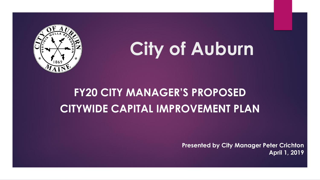

# **City of Auburn**

### **FY20 CITY MANAGER'S PROPOSED CITYWIDE CAPITAL IMPROVEMENT PLAN**

**Presented by City Manager Peter Crichton April 1, 2019**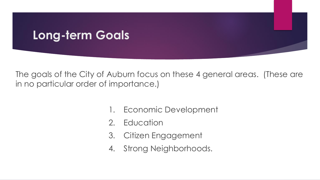### **Long-term Goals**

The goals of the City of Auburn focus on these 4 general areas. (These are in no particular order of importance.)

- 1. Economic Development
- 2. Education
- 3. Citizen Engagement
- 4. Strong Neighborhoods.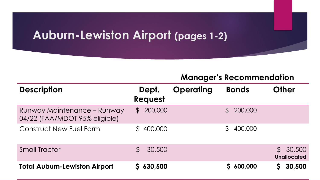### **Auburn-Lewiston Airport (pages 1-2)**

| <b>Description</b>                                           | Dept.<br><b>Request</b> | <b>Operating</b> | <b>Bonds</b>             | <b>Other</b>                   |
|--------------------------------------------------------------|-------------------------|------------------|--------------------------|--------------------------------|
| Runway Maintenance - Runway<br>04/22 (FAA/MDOT 95% eligible) | 200,000<br>$\mathbb S$  |                  | 200,000<br>$\mathcal{L}$ |                                |
| Construct New Fuel Farm                                      | \$400,000               |                  | 400,000                  |                                |
| <b>Small Tractor</b>                                         | 30,500<br>$\mathbb S$   |                  |                          | \$30,500<br><b>Unallocated</b> |
| <b>Total Auburn-Lewiston Airport</b>                         | \$630,500               |                  | 600,000                  | 30,500                         |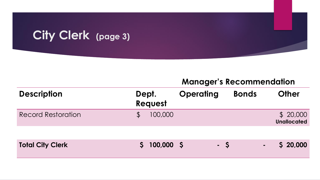### **City Clerk (page 3)**

| <b>Description</b>        | Dept. | Request    | <b>Operating</b> |      | <b>Bonds</b>   | <b>Other</b>                   |
|---------------------------|-------|------------|------------------|------|----------------|--------------------------------|
| <b>Record Restoration</b> |       | 100,000    |                  |      |                | \$20,000<br><b>Unallocated</b> |
|                           |       |            |                  |      |                |                                |
| <b>Total City Clerk</b>   |       | 100,000 \$ |                  | $-5$ | $\blacksquare$ | \$20,000                       |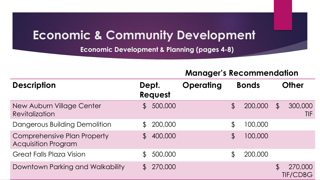### **Economic & Community Development**

**Economic Development & Planning (pages 4-8)**

| <b>Description</b>                                               | Dept.<br>Request         | <b>Operating</b> | <b>Bonds</b>   |         | <b>Other</b>   |                            |
|------------------------------------------------------------------|--------------------------|------------------|----------------|---------|----------------|----------------------------|
| New Auburn Village Center<br>Revitalization                      | 500,000<br>$\mathbb S$   |                  | $\mathfrak{P}$ | 200,000 | $\mathcal{L}$  | 300,000<br>TIF             |
| Dangerous Building Demolition                                    | 200,000                  |                  | $\mathfrak{P}$ | 100,000 |                |                            |
| <b>Comprehensive Plan Property</b><br><b>Acquisition Program</b> | 400,000<br>$\mathcal{L}$ |                  | $\mathfrak{P}$ | 100,000 |                |                            |
| <b>Great Falls Plaza Vision</b>                                  | 500,000                  |                  | $\mathfrak{P}$ | 200,000 |                |                            |
| Downtown Parking and Walkability                                 | 270,000<br>$\mathbb S$   |                  |                |         | $\mathfrak{P}$ | 270,000<br><b>TIF/CDBG</b> |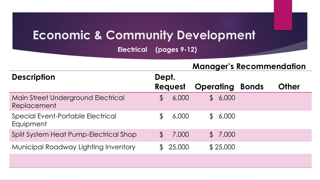### **Economic & Community Development**

**Electrical (pages 9-12)** 

|                                                   |                         | <b>Manager's Recommendation</b>  |              |
|---------------------------------------------------|-------------------------|----------------------------------|--------------|
| <b>Description</b>                                | Dept.                   |                                  |              |
|                                                   | <b>Request</b>          | <b>Operating</b><br><b>Bonds</b> | <b>Other</b> |
| Main Street Underground Electrical<br>Replacement | 6,000<br>$\mathbb S$    | 6,000<br>$\mathbb S$             |              |
| Special Event-Portable Electrical<br>Equipment    | 6,000<br>$\mathfrak{P}$ | 6,000<br>$\mathbb S$             |              |
| Split System Heat Pump-Electrical Shop            | 7,000<br>$\mathcal{F}$  | \$7,000                          |              |
| <b>Municipal Roadway Lighting Inventory</b>       | 25,000<br>$\mathbb S$   | \$25,000                         |              |
|                                                   |                         |                                  |              |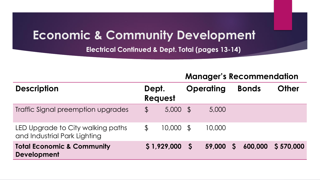### **Economic & Community Development**

**Electrical Continued & Dept. Total (pages 13-14)** 

| <b>Description</b>                                                | Dept.          | <b>Request</b> |            | <b>Operating</b> |          | <b>Bonds</b> | <b>Other</b> |
|-------------------------------------------------------------------|----------------|----------------|------------|------------------|----------|--------------|--------------|
| Traffic Signal preemption upgrades                                | $\mathfrak{L}$ | 5,000          | $\vert$ \$ | 5,000            |          |              |              |
| LED Upgrade to City walking paths<br>and Industrial Park Lighting | $\mathcal{L}$  | 10,000         | - S        | 10,000           |          |              |              |
| <b>Total Economic &amp; Community</b><br><b>Development</b>       |                | \$1,929,000    |            | 59,000           | <b>S</b> | 600,000      | \$570,000    |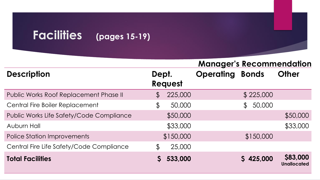#### **Description Dept. Request Operating Bonds Other** Public Works Roof Replacement Phase II  $$225,000$  \$225,000 Central Fire Boiler Replacement  $$50,000$   $$50,000$ Public Works Life Safety/Code Compliance  $$50,000$  \$50,000 \$50,000 Auburn Hall \$33,000 \$33,000 \$33,000 \$33,000 \$33,000 Police Station Improvements  $$150,000$  \$150,000 Central Fire Life Safety/Code Compliance \$ 25,000 **Total Facilities \$ 533,000 \$ 425,000 \$83,000 Unallocated Manager's Recommendation**

**Facilities (pages 15-19)**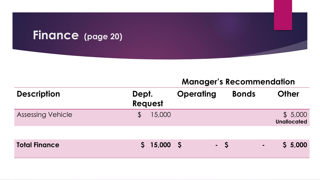#### **Finance (page 20)**

| <b>Description</b>       | Dept.<br><b>Request</b> |        | <b>Operating</b> | <b>Bonds</b> | <b>Other</b>                  |
|--------------------------|-------------------------|--------|------------------|--------------|-------------------------------|
| <b>Assessing Vehicle</b> |                         | 15,000 |                  |              | \$5,000<br><b>Unallocated</b> |

| <b>Total Finance</b> |  | $$15,000$ $$$ |  | $\sqrt{2}$ |  |  | $-$ \$ 5,000 |
|----------------------|--|---------------|--|------------|--|--|--------------|
|----------------------|--|---------------|--|------------|--|--|--------------|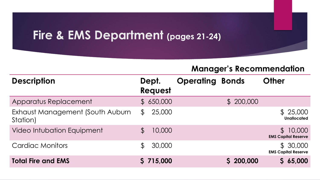### **Fire & EMS Department (pages 21-24)**

| <b>Description</b>                           | Dept.<br>Request         | <b>Operating Bonds</b> |           | <b>Other</b>                           |
|----------------------------------------------|--------------------------|------------------------|-----------|----------------------------------------|
| Apparatus Replacement                        | \$650,000                |                        | \$200,000 |                                        |
| Exhaust Management (South Auburn<br>Station) | 25,000<br>$\mathcal{L}$  |                        |           | \$25,000<br><b>Unallocated</b>         |
| <b>Video Intubation Equipment</b>            | 10,000                   |                        |           | \$10,000<br><b>EMS Capital Reserve</b> |
| <b>Cardiac Monitors</b>                      | 30,000<br>$\mathfrak{F}$ |                        |           | \$30,000<br><b>EMS Capital Reserve</b> |
| <b>Total Fire and EMS</b>                    | S 715,000                |                        | 200,000   | \$65,000                               |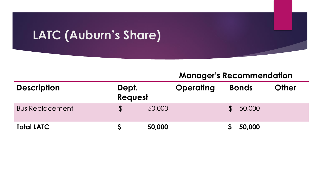### **LATC (Auburn's Share)**

| <b>Description</b>     | Dept.<br>Request | <b>Operating</b> | <b>Bonds</b> | <b>Other</b> |
|------------------------|------------------|------------------|--------------|--------------|
| <b>Bus Replacement</b> |                  | 50,000           | 50,000       |              |
| <b>Total LATC</b>      |                  | 50,000           | 50,000       |              |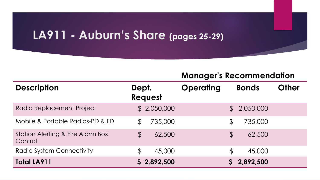### **LA911 - Auburn's Share (pages 25-29)**

| <b>Description</b>                                      | Dept.<br>Request               | <b>Operating</b>       | <b>Other</b><br><b>Bonds</b> |
|---------------------------------------------------------|--------------------------------|------------------------|------------------------------|
| Radio Replacement Project                               | \$2,050,000                    |                        | \$2,050,000                  |
| Mobile & Portable Radios-PD & FD                        | 735,000<br>$\mathfrak{P}$      | $\mathfrak{P}$         | 735,000                      |
| <b>Station Alerting &amp; Fire Alarm Box</b><br>Control | 62,500<br>$\boldsymbol{\beta}$ | $\boldsymbol{\varphi}$ | 62,500                       |
| Radio System Connectivity                               | 45,000<br>$\mathbb S$          | \$                     | 45,000                       |
| <b>Total LA911</b>                                      | \$2,892,500                    |                        | 2,892,500                    |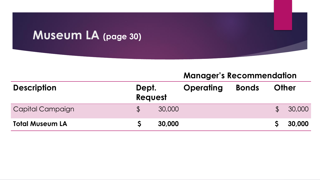### **Museum LA (page 30)**

|                        |                  | <b>Manager's Recommendation</b> |                  |              |               |              |  |  |  |  |
|------------------------|------------------|---------------------------------|------------------|--------------|---------------|--------------|--|--|--|--|
| <b>Description</b>     | Dept.<br>Request |                                 | <b>Operating</b> | <b>Bonds</b> |               | <b>Other</b> |  |  |  |  |
| Capital Campaign       |                  | 30,000                          |                  |              | $\mathcal{L}$ | 30,000       |  |  |  |  |
| <b>Total Museum LA</b> |                  | 30,000                          |                  |              |               | 30,000       |  |  |  |  |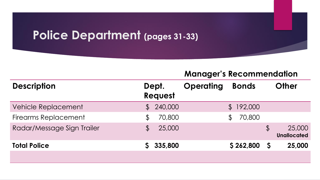#### **Police Department (pages 31-33)**

| <b>Description</b>          |                | Dept.<br><b>Request</b> | <b>Operating</b> |                | <b>Bonds</b> |               | <b>Other</b>                 |
|-----------------------------|----------------|-------------------------|------------------|----------------|--------------|---------------|------------------------------|
| Vehicle Replacement         |                | 240,000                 |                  |                | \$192,000    |               |                              |
| <b>Firearms Replacement</b> | $\mathfrak{P}$ | 70,800                  |                  | $\mathfrak{P}$ | 70,800       |               |                              |
| Radar/Message Sign Trailer  | $\mathfrak{P}$ | 25,000                  |                  |                |              | $\frac{1}{2}$ | 25,000<br><b>Unallocated</b> |
| <b>Total Police</b>         |                | 335,800                 |                  |                | \$262,800    | S             | 25,000                       |
|                             |                |                         |                  |                |              |               |                              |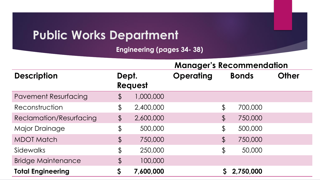### **Public Works Department**

**Engineering (pages 34- 38)** 

|                             |                        |           | <b>Manager's Recommendation</b> |                        |              |              |  |  |  |
|-----------------------------|------------------------|-----------|---------------------------------|------------------------|--------------|--------------|--|--|--|
| <b>Description</b>          | Dept.                  | Request   | <b>Operating</b>                |                        | <b>Bonds</b> | <b>Other</b> |  |  |  |
| <b>Pavement Resurfacing</b> | $\boldsymbol{\varphi}$ | 1,000,000 |                                 |                        |              |              |  |  |  |
| Reconstruction              | \$                     | 2,400,000 |                                 | \$                     | 700,000      |              |  |  |  |
| Reclamation/Resurfacing     | $\frac{1}{2}$          | 2,600,000 |                                 | $\frac{1}{2}$          | 750,000      |              |  |  |  |
| <b>Major Drainage</b>       | \$                     | 500,000   |                                 | $\frac{1}{2}$          | 500,000      |              |  |  |  |
| <b>MDOT Match</b>           | $\boldsymbol{\beta}$   | 750,000   |                                 | $\boldsymbol{\varphi}$ | 750,000      |              |  |  |  |
| Sidewalks                   | $\frac{1}{2}$          | 250,000   |                                 | $\boldsymbol{\varphi}$ | 50,000       |              |  |  |  |
| <b>Bridge Maintenance</b>   | $\beta$                | 100,000   |                                 |                        |              |              |  |  |  |
| <b>Total Engineering</b>    | \$                     | 7,600,000 |                                 |                        | 2,750,000    |              |  |  |  |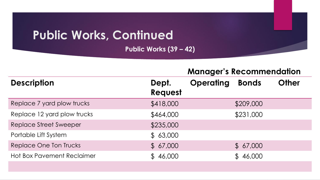## **Public Works, Continued**

**Public Works (39 – 42)** 

|                                   | <b>Manager's Recommendation</b> |                  |              |              |  |  |  |  |
|-----------------------------------|---------------------------------|------------------|--------------|--------------|--|--|--|--|
| <b>Description</b>                | Dept.<br>Request                | <b>Operating</b> | <b>Bonds</b> | <b>Other</b> |  |  |  |  |
| Replace 7 yard plow trucks        | \$418,000                       |                  | \$209,000    |              |  |  |  |  |
| Replace 12 yard plow trucks       | \$464,000                       |                  | \$231,000    |              |  |  |  |  |
| <b>Replace Street Sweeper</b>     | \$235,000                       |                  |              |              |  |  |  |  |
| Portable Lift System              | \$63,000                        |                  |              |              |  |  |  |  |
| Replace One Ton Trucks            | \$67,000                        |                  | \$67,000     |              |  |  |  |  |
| <b>Hot Box Pavement Reclaimer</b> | \$46,000                        |                  | \$46,000     |              |  |  |  |  |
|                                   |                                 |                  |              |              |  |  |  |  |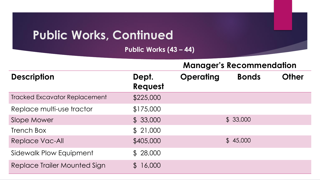### **Public Works, Continued**

**Public Works (43 – 44)** 

|                                      |                         | <b>Manager's Recommendation</b> |              |              |  |  |  |  |
|--------------------------------------|-------------------------|---------------------------------|--------------|--------------|--|--|--|--|
| <b>Description</b>                   | Dept.<br><b>Request</b> | <b>Operating</b>                | <b>Bonds</b> | <b>Other</b> |  |  |  |  |
| <b>Tracked Excavator Replacement</b> | \$225,000               |                                 |              |              |  |  |  |  |
| Replace multi-use tractor            | \$175,000               |                                 |              |              |  |  |  |  |
| Slope Mower                          | \$33,000                |                                 | \$33,000     |              |  |  |  |  |
| <b>Trench Box</b>                    | \$21,000                |                                 |              |              |  |  |  |  |
| Replace Vac-All                      | \$405,000               |                                 | \$45,000     |              |  |  |  |  |
| Sidewalk Plow Equipment              | \$28,000                |                                 |              |              |  |  |  |  |
| Replace Trailer Mounted Sign         | 16,000<br>$\mathcal{P}$ |                                 |              |              |  |  |  |  |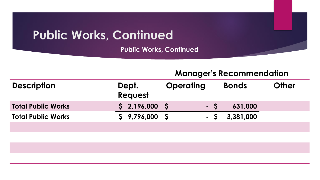### **Public Works, Continued**

**Public Works, Continued**

| <b>Manager s Recommendation</b> |           |       |                   |  |  |  |  |
|---------------------------------|-----------|-------|-------------------|--|--|--|--|
|                                 | Oneratina | Ronde | O <sub>thar</sub> |  |  |  |  |

| <b>Description</b>        | Dept.<br>Request | <b>Operating</b> | <b>Bonds</b> | <b>Other</b> |
|---------------------------|------------------|------------------|--------------|--------------|
| <b>Total Public Works</b> | \$2,196,000      | - S              | 631,000      |              |
| <b>Total Public Works</b> | \$9,796,000      | $-S$             | 3,381,000    |              |
|                           |                  |                  |              |              |
|                           |                  |                  |              |              |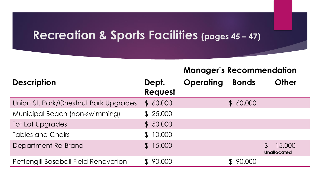#### **Recreation & Sports Facilities (pages 45 – 47)**

|                                             |                  | <u>Manager Sinecommentation</u> |              |                              |
|---------------------------------------------|------------------|---------------------------------|--------------|------------------------------|
| <b>Description</b>                          | Dept.<br>Request | <b>Operating</b>                | <b>Bonds</b> | <b>Other</b>                 |
| Union St. Park/Chestnut Park Upgrades       | \$60,000         |                                 | \$60,000     |                              |
| Municipal Beach (non-swimming)              | \$25,000         |                                 |              |                              |
| <b>Tot Lot Upgrades</b>                     | \$50,000         |                                 |              |                              |
| <b>Tables and Chairs</b>                    | \$10,000         |                                 |              |                              |
| Department Re-Brand                         | \$15,000         |                                 |              | 15,000<br><b>Unallocated</b> |
| <b>Pettengill Baseball Field Renovation</b> | \$90,000         |                                 | 90,000       |                              |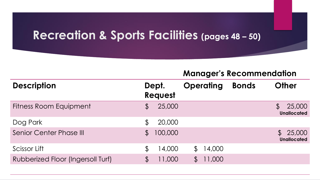#### **Recreation & Sports Facilities (pages 48 – 50)**

| <b>Description</b>                |                | Dept.<br>Request |                | <b>Operating</b> | <b>Bonds</b> | <b>Other</b>                                  |
|-----------------------------------|----------------|------------------|----------------|------------------|--------------|-----------------------------------------------|
| <b>Fitness Room Equipment</b>     | $\mathfrak{F}$ | 25,000           |                |                  |              | 25,000<br>$\mathcal{F}$<br><b>Unallocated</b> |
| Dog Park                          | $\mathcal{L}$  | 20,000           |                |                  |              |                                               |
| <b>Senior Center Phase III</b>    | $\mathfrak{P}$ | 100,000          |                |                  |              | 25,000<br>$\mathcal{L}$<br><b>Unallocated</b> |
| Scissor Lift                      | $\mathcal{L}$  | 14,000           | $\mathfrak{P}$ | 14,000           |              |                                               |
| Rubberized Floor (Ingersoll Turf) | $\mathfrak{P}$ | 11,000           | $\mathfrak{P}$ | 11,000           |              |                                               |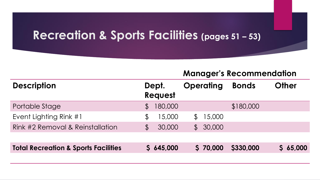#### **Recreation & Sports Facilities (pages 51 – 53)**

| <b>Description</b>                              | Dept.<br><b>Request</b> |         | <b>Operating</b> |          | <b>Bonds</b> | <b>Other</b> |
|-------------------------------------------------|-------------------------|---------|------------------|----------|--------------|--------------|
| Portable Stage                                  | $\mathcal{P}$           | 180,000 |                  |          | \$180,000    |              |
| Event Lighting Rink #1                          | $\mathfrak{P}$          | 15,000  | $\mathfrak{P}$   | 15,000   |              |              |
| Rink #2 Removal & Reinstallation                | $\mathcal{L}$           | 30,000  | $\mathbb{S}$     | 30,000   |              |              |
|                                                 |                         |         |                  |          |              |              |
| <b>Total Recreation &amp; Sports Facilities</b> |                         | 645,000 |                  | \$70,000 | \$330,000    | \$65,000     |